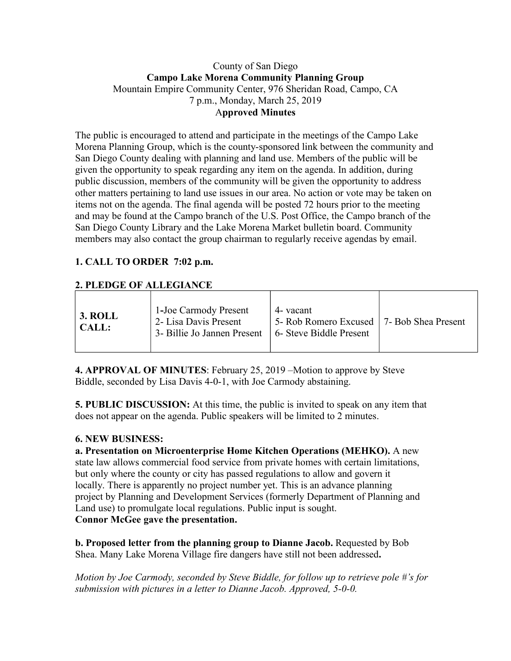### County of San Diego **Campo Lake Morena Community Planning Group** Mountain Empire Community Center, 976 Sheridan Road, Campo, CA 7 p.m., Monday, March 25, 2019 A**pproved Minutes**

The public is encouraged to attend and participate in the meetings of the Campo Lake Morena Planning Group, which is the county-sponsored link between the community and San Diego County dealing with planning and land use. Members of the public will be given the opportunity to speak regarding any item on the agenda. In addition, during public discussion, members of the community will be given the opportunity to address other matters pertaining to land use issues in our area. No action or vote may be taken on items not on the agenda. The final agenda will be posted 72 hours prior to the meeting and may be found at the Campo branch of the U.S. Post Office, the Campo branch of the San Diego County Library and the Lake Morena Market bulletin board. Community members may also contact the group chairman to regularly receive agendas by email.

# **1. CALL TO ORDER 7:02 p.m.**

## **2. PLEDGE OF ALLEGIANCE**

**4. APPROVAL OF MINUTES**: February 25, 2019 –Motion to approve by Steve Biddle, seconded by Lisa Davis 4-0-1, with Joe Carmody abstaining.

**5. PUBLIC DISCUSSION:** At this time, the public is invited to speak on any item that does not appear on the agenda. Public speakers will be limited to 2 minutes.

#### **6. NEW BUSINESS:**

**a. Presentation on Microenterprise Home Kitchen Operations (MEHKO).** A new state law allows commercial food service from private homes with certain limitations, but only where the county or city has passed regulations to allow and govern it locally. There is apparently no project number yet. This is an advance planning project by Planning and Development Services (formerly Department of Planning and Land use) to promulgate local regulations. Public input is sought. **Connor McGee gave the presentation.**

**b. Proposed letter from the planning group to Dianne Jacob.** Requested by Bob Shea. Many Lake Morena Village fire dangers have still not been addressed**.**

*Motion by Joe Carmody, seconded by Steve Biddle, for follow up to retrieve pole #'s for submission with pictures in a letter to Dianne Jacob. Approved, 5-0-0.*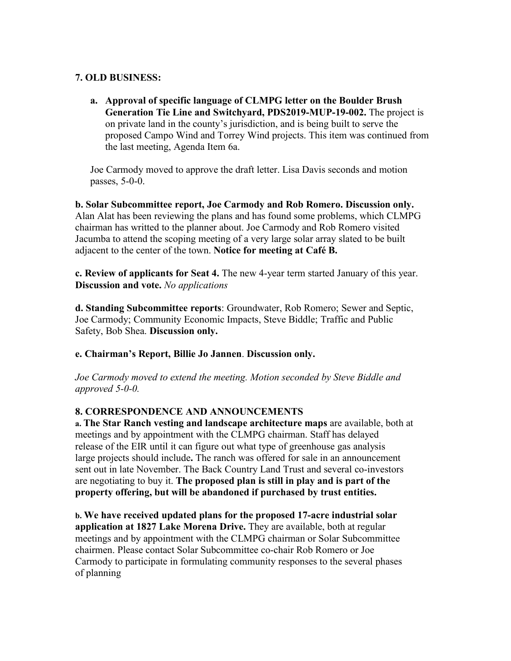## **7. OLD BUSINESS:**

**a. Approval of specific language of CLMPG letter on the Boulder Brush Generation Tie Line and Switchyard, PDS2019-MUP-19-002.** The project is on private land in the county's jurisdiction, and is being built to serve the proposed Campo Wind and Torrey Wind projects. This item was continued from the last meeting, Agenda Item 6a.

Joe Carmody moved to approve the draft letter. Lisa Davis seconds and motion passes, 5-0-0.

**b. Solar Subcommittee report, Joe Carmody and Rob Romero. Discussion only.**  Alan Alat has been reviewing the plans and has found some problems, which CLMPG chairman has writted to the planner about. Joe Carmody and Rob Romero visited Jacumba to attend the scoping meeting of a very large solar array slated to be built adjacent to the center of the town. **Notice for meeting at Café B.**

**c. Review of applicants for Seat 4.** The new 4-year term started January of this year. **Discussion and vote.** *No applications*

**d. Standing Subcommittee reports**: Groundwater, Rob Romero; Sewer and Septic, Joe Carmody; Community Economic Impacts, Steve Biddle; Traffic and Public Safety, Bob Shea. **Discussion only.**

**e. Chairman's Report, Billie Jo Jannen**. **Discussion only.**

*Joe Carmody moved to extend the meeting. Motion seconded by Steve Biddle and approved 5-0-0.*

## **8. CORRESPONDENCE AND ANNOUNCEMENTS**

**a. The Star Ranch vesting and landscape architecture maps** are available, both at meetings and by appointment with the CLMPG chairman. Staff has delayed release of the EIR until it can figure out what type of greenhouse gas analysis large projects should include**.** The ranch was offered for sale in an announcement sent out in late November. The Back Country Land Trust and several co-investors are negotiating to buy it. **The proposed plan is still in play and is part of the property offering, but will be abandoned if purchased by trust entities.**

**b. We have received updated plans for the proposed 17-acre industrial solar application at 1827 Lake Morena Drive.** They are available, both at regular meetings and by appointment with the CLMPG chairman or Solar Subcommittee chairmen. Please contact Solar Subcommittee co-chair Rob Romero or Joe Carmody to participate in formulating community responses to the several phases of planning